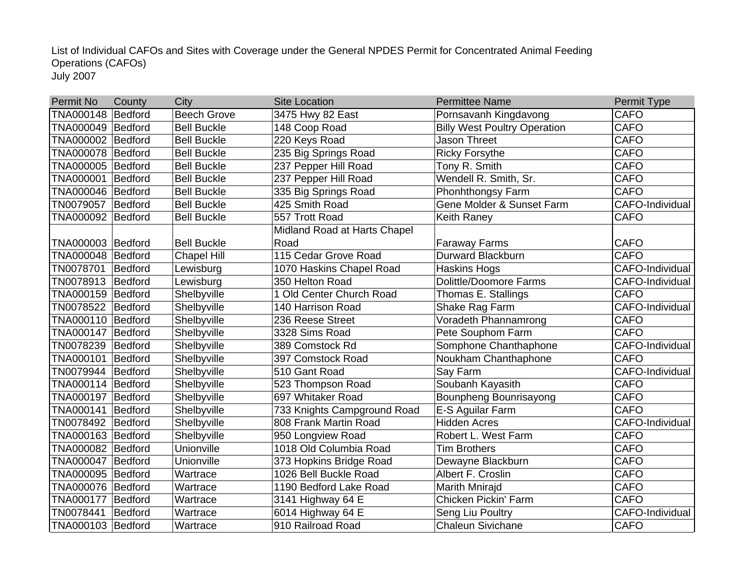July 2007 List of Individual CAFOs and Sites with Coverage under the General NPDES Permit for Concentrated Animal Feeding Operations (CAFOs)

| <b>Permit No</b>    | County         | City               | <b>Site Location</b>         | <b>Permittee Name</b>               | Permit Type     |
|---------------------|----------------|--------------------|------------------------------|-------------------------------------|-----------------|
| TNA000148 Bedford   |                | <b>Beech Grove</b> | 3475 Hwy 82 East             | Pornsavanh Kingdavong               | <b>CAFO</b>     |
| TNA000049 Bedford   |                | <b>Bell Buckle</b> | 148 Coop Road                | <b>Billy West Poultry Operation</b> | <b>CAFO</b>     |
| TNA000002 Bedford   |                | <b>Bell Buckle</b> | 220 Keys Road                | Jason Threet                        | <b>CAFO</b>     |
| TNA000078 Bedford   |                | <b>Bell Buckle</b> | 235 Big Springs Road         | <b>Ricky Forsythe</b>               | <b>CAFO</b>     |
| TNA000005 Bedford   |                | <b>Bell Buckle</b> | 237 Pepper Hill Road         | Tony R. Smith                       | <b>CAFO</b>     |
| TNA000001 Bedford   |                | <b>Bell Buckle</b> | 237 Pepper Hill Road         | Wendell R. Smith, Sr.               | <b>CAFO</b>     |
| TNA000046 Bedford   |                | <b>Bell Buckle</b> | 335 Big Springs Road         | Phonhthongsy Farm                   | <b>CAFO</b>     |
| TN0079057           | Bedford        | <b>Bell Buckle</b> | 425 Smith Road               | Gene Molder & Sunset Farm           | CAFO-Individual |
| TNA000092 Bedford   |                | <b>Bell Buckle</b> | 557 Trott Road               | <b>Keith Raney</b>                  | <b>CAFO</b>     |
|                     |                |                    | Midland Road at Harts Chapel |                                     |                 |
| TNA000003 Bedford   |                | <b>Bell Buckle</b> | Road                         | <b>Faraway Farms</b>                | <b>CAFO</b>     |
| TNA000048 Bedford   |                | <b>Chapel Hill</b> | 115 Cedar Grove Road         | Durward Blackburn                   | <b>CAFO</b>     |
| TN0078701 Bedford   |                | Lewisburg          | 1070 Haskins Chapel Road     | <b>Haskins Hogs</b>                 | CAFO-Individual |
| TN0078913   Bedford |                | Lewisburg          | 350 Helton Road              | Dolittle/Doomore Farms              | CAFO-Individual |
| TNA000159 Bedford   |                | Shelbyville        | 1 Old Center Church Road     | Thomas E. Stallings                 | <b>CAFO</b>     |
| TN0078522 Bedford   |                | Shelbyville        | 140 Harrison Road            | Shake Rag Farm                      | CAFO-Individual |
| TNA000110 Bedford   |                | Shelbyville        | 236 Reese Street             | Voradeth Phannamrong                | <b>CAFO</b>     |
| TNA000147 Bedford   |                | Shelbyville        | 3328 Sims Road               | Pete Souphom Farm                   | <b>CAFO</b>     |
| TN0078239 Bedford   |                | Shelbyville        | 389 Comstock Rd              | Somphone Chanthaphone               | CAFO-Individual |
| TNA000101 Bedford   |                | Shelbyville        | 397 Comstock Road            | Noukham Chanthaphone                | <b>CAFO</b>     |
| TN0079944 Bedford   |                | Shelbyville        | 510 Gant Road                | Say Farm                            | CAFO-Individual |
| TNA000114 Bedford   |                | Shelbyville        | 523 Thompson Road            | Soubanh Kayasith                    | <b>CAFO</b>     |
| TNA000197 Bedford   |                | Shelbyville        | 697 Whitaker Road            | Bounpheng Bounrisayong              | <b>CAFO</b>     |
| TNA000141   Bedford |                | Shelbyville        | 733 Knights Campground Road  | E-S Aguilar Farm                    | <b>CAFO</b>     |
| TN0078492           | Bedford        | Shelbyville        | 808 Frank Martin Road        | <b>Hidden Acres</b>                 | CAFO-Individual |
| TNA000163           | Bedford        | Shelbyville        | 950 Longview Road            | Robert L. West Farm                 | <b>CAFO</b>     |
| TNA000082 Bedford   |                | Unionville         | 1018 Old Columbia Road       | <b>Tim Brothers</b>                 | <b>CAFO</b>     |
| TNA000047 Bedford   |                | Unionville         | 373 Hopkins Bridge Road      | Dewayne Blackburn                   | <b>CAFO</b>     |
| TNA000095 Bedford   |                | Wartrace           | 1026 Bell Buckle Road        | Albert F. Croslin                   | <b>CAFO</b>     |
| TNA000076 Bedford   |                | Wartrace           | 1190 Bedford Lake Road       | Marith Mnirajd                      | <b>CAFO</b>     |
| TNA000177           | Bedford        | Wartrace           | 3141 Highway 64 E            | Chicken Pickin' Farm                | <b>CAFO</b>     |
| TN0078441           | <b>Bedford</b> | Wartrace           | 6014 Highway 64 E            | Seng Liu Poultry                    | CAFO-Individual |
| TNA000103 Bedford   |                | Wartrace           | 910 Railroad Road            | <b>Chaleun Sivichane</b>            | <b>CAFO</b>     |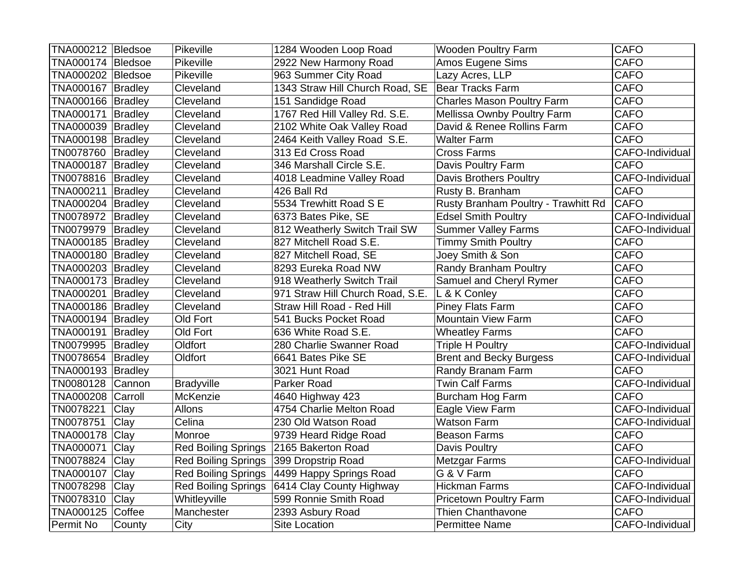| TNA000212 Bledsoe   |         | Pikeville                  | 1284 Wooden Loop Road            | <b>Wooden Poultry Farm</b>          | <b>CAFO</b>     |
|---------------------|---------|----------------------------|----------------------------------|-------------------------------------|-----------------|
| TNA000174   Bledsoe |         | Pikeville                  | 2922 New Harmony Road            | Amos Eugene Sims                    | <b>CAFO</b>     |
| TNA000202 Bledsoe   |         | Pikeville                  | 963 Summer City Road             | Lazy Acres, LLP                     | <b>CAFO</b>     |
| TNA000167 Bradley   |         | Cleveland                  | 1343 Straw Hill Church Road, SE  | Bear Tracks Farm                    | <b>CAFO</b>     |
| TNA000166 Bradley   |         | Cleveland                  | 151 Sandidge Road                | <b>Charles Mason Poultry Farm</b>   | <b>CAFO</b>     |
| TNA000171   Bradley |         | Cleveland                  | 1767 Red Hill Valley Rd. S.E.    | Mellissa Ownby Poultry Farm         | <b>CAFO</b>     |
| TNA000039 Bradley   |         | Cleveland                  | 2102 White Oak Valley Road       | David & Renee Rollins Farm          | <b>CAFO</b>     |
| TNA000198 Bradley   |         | Cleveland                  | 2464 Keith Valley Road S.E.      | <b>Walter Farm</b>                  | <b>CAFO</b>     |
| TN0078760 Bradley   |         | Cleveland                  | 313 Ed Cross Road                | <b>Cross Farms</b>                  | CAFO-Individual |
| TNA000187 Bradley   |         | Cleveland                  | 346 Marshall Circle S.E.         | Davis Poultry Farm                  | <b>CAFO</b>     |
| TN0078816 Bradley   |         | Cleveland                  | 4018 Leadmine Valley Road        | <b>Davis Brothers Poultry</b>       | CAFO-Individual |
| TNA000211   Bradley |         | Cleveland                  | 426 Ball Rd                      | Rusty B. Branham                    | <b>CAFO</b>     |
| TNA000204 Bradley   |         | Cleveland                  | 5534 Trewhitt Road S E           | Rusty Branham Poultry - Trawhitt Rd | <b>CAFO</b>     |
| TN0078972 Bradley   |         | Cleveland                  | 6373 Bates Pike, SE              | <b>Edsel Smith Poultry</b>          | CAFO-Individual |
| TN0079979 Bradley   |         | Cleveland                  | 812 Weatherly Switch Trail SW    | <b>Summer Valley Farms</b>          | CAFO-Individual |
| TNA000185 Bradley   |         | Cleveland                  | 827 Mitchell Road S.E.           | <b>Timmy Smith Poultry</b>          | <b>CAFO</b>     |
| TNA000180 Bradley   |         | Cleveland                  | 827 Mitchell Road, SE            | Joey Smith & Son                    | <b>CAFO</b>     |
| TNA000203 Bradley   |         | Cleveland                  | 8293 Eureka Road NW              | Randy Branham Poultry               | <b>CAFO</b>     |
| TNA000173 Bradley   |         | Cleveland                  | 918 Weatherly Switch Trail       | Samuel and Cheryl Rymer             | <b>CAFO</b>     |
| TNA000201 Bradley   |         | Cleveland                  | 971 Straw Hill Church Road, S.E. | L & K Conley                        | <b>CAFO</b>     |
| TNA000186 Bradley   |         | Cleveland                  | Straw Hill Road - Red Hill       | <b>Piney Flats Farm</b>             | <b>CAFO</b>     |
| TNA000194 Bradley   |         | Old Fort                   | 541 Bucks Pocket Road            | <b>Mountain View Farm</b>           | <b>CAFO</b>     |
| TNA000191 Bradley   |         | Old Fort                   | 636 White Road S.E.              | <b>Wheatley Farms</b>               | <b>CAFO</b>     |
| TN0079995   Bradley |         | Oldfort                    | 280 Charlie Swanner Road         | <b>Triple H Poultry</b>             | CAFO-Individual |
| TN0078654 Bradley   |         | Oldfort                    | 6641 Bates Pike SE               | <b>Brent and Becky Burgess</b>      | CAFO-Individual |
| TNA000193 Bradley   |         |                            | 3021 Hunt Road                   | Randy Branam Farm                   | <b>CAFO</b>     |
| TN0080128           | Cannon  | Bradyville                 | Parker Road                      | <b>Twin Calf Farms</b>              | CAFO-Individual |
| <b>TNA000208</b>    | Carroll | McKenzie                   | 4640 Highway 423                 | Burcham Hog Farm                    | <b>CAFO</b>     |
| TN0078221           | Clay    | Allons                     | 4754 Charlie Melton Road         | Eagle View Farm                     | CAFO-Individual |
| TN0078751           | Clay    | Celina                     | 230 Old Watson Road              | <b>Watson Farm</b>                  | CAFO-Individual |
| <b>TNA000178</b>    | Clay    | Monroe                     | 9739 Heard Ridge Road            | <b>Beason Farms</b>                 | <b>CAFO</b>     |
| TNA000071           | Clay    | <b>Red Boiling Springs</b> | 2165 Bakerton Road               | Davis Poultry                       | <b>CAFO</b>     |
| TN0078824           | Clay    | <b>Red Boiling Springs</b> | 399 Dropstrip Road               | <b>Metzgar Farms</b>                | CAFO-Individual |
| <b>TNA000107</b>    | Clay    | <b>Red Boiling Springs</b> | 4499 Happy Springs Road          | G & V Farm                          | <b>CAFO</b>     |
| TN0078298           | Clay    | <b>Red Boiling Springs</b> | 6414 Clay County Highway         | <b>Hickman Farms</b>                | CAFO-Individual |
| TN0078310 Clay      |         | Whitleyville               | 599 Ronnie Smith Road            | <b>Pricetown Poultry Farm</b>       | CAFO-Individual |
| <b>TNA000125</b>    | Coffee  | Manchester                 | 2393 Asbury Road                 | <b>Thien Chanthavone</b>            | <b>CAFO</b>     |
| Permit No           | County  | City                       | Site Location                    | <b>Permittee Name</b>               | CAFO-Individual |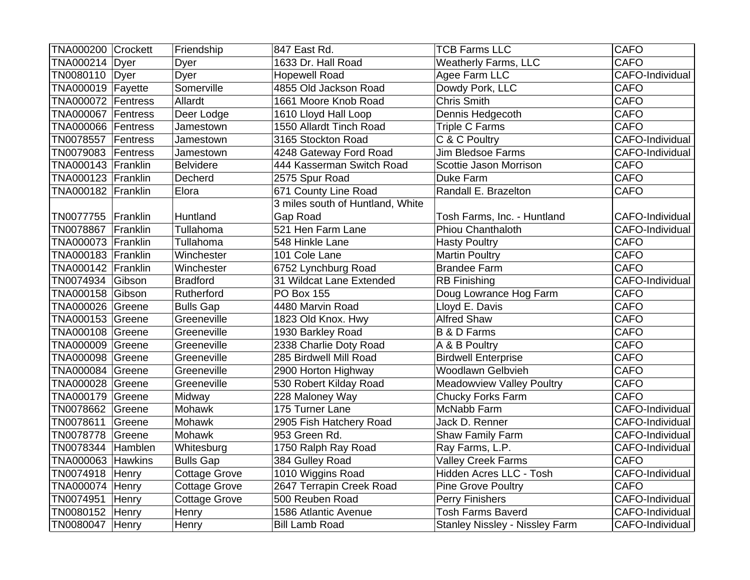| TNA000200 Crockett |        | Friendship           | 847 East Rd.                     | <b>TCB Farms LLC</b>                  | <b>CAFO</b>     |
|--------------------|--------|----------------------|----------------------------------|---------------------------------------|-----------------|
| TNA000214   Dyer   |        | Dyer                 | 1633 Dr. Hall Road               | <b>Weatherly Farms, LLC</b>           | <b>CAFO</b>     |
| TN0080110   Dyer   |        | Dyer                 | <b>Hopewell Road</b>             | Agee Farm LLC                         | CAFO-Individual |
| TNA000019 Fayette  |        | Somerville           | 4855 Old Jackson Road            | Dowdy Pork, LLC                       | <b>CAFO</b>     |
| TNA000072 Fentress |        | Allardt              | 1661 Moore Knob Road             | <b>Chris Smith</b>                    | <b>CAFO</b>     |
| TNA000067 Fentress |        | Deer Lodge           | 1610 Lloyd Hall Loop             | Dennis Hedgecoth                      | <b>CAFO</b>     |
| TNA000066 Fentress |        | Jamestown            | 1550 Allardt Tinch Road          | Triple C Farms                        | <b>CAFO</b>     |
| TN0078557 Fentress |        | Jamestown            | 3165 Stockton Road               | C & C Poultry                         | CAFO-Individual |
| TN0079083 Fentress |        | Jamestown            | 4248 Gateway Ford Road           | <b>Jim Bledsoe Farms</b>              | CAFO-Individual |
| TNA000143 Franklin |        | <b>Belvidere</b>     | 444 Kasserman Switch Road        | Scottie Jason Morrison                | <b>CAFO</b>     |
| TNA000123 Franklin |        | Decherd              | 2575 Spur Road                   | Duke Farm                             | <b>CAFO</b>     |
| TNA000182 Franklin |        | Elora                | 671 County Line Road             | Randall E. Brazelton                  | <b>CAFO</b>     |
|                    |        |                      | 3 miles south of Huntland, White |                                       |                 |
| TN0077755 Franklin |        | Huntland             | Gap Road                         | Tosh Farms, Inc. - Huntland           | CAFO-Individual |
| TN0078867 Franklin |        | Tullahoma            | 521 Hen Farm Lane                | <b>Phiou Chanthaloth</b>              | CAFO-Individual |
| TNA000073 Franklin |        | Tullahoma            | 548 Hinkle Lane                  | <b>Hasty Poultry</b>                  | <b>CAFO</b>     |
| TNA000183 Franklin |        | Winchester           | 101 Cole Lane                    | <b>Martin Poultry</b>                 | <b>CAFO</b>     |
| TNA000142 Franklin |        | Winchester           | 6752 Lynchburg Road              | <b>Brandee Farm</b>                   | <b>CAFO</b>     |
| TN0074934 Gibson   |        | <b>Bradford</b>      | 31 Wildcat Lane Extended         | <b>RB</b> Finishing                   | CAFO-Individual |
| TNA000158 Gibson   |        | Rutherford           | <b>PO Box 155</b>                | Doug Lowrance Hog Farm                | <b>CAFO</b>     |
| TNA000026 Greene   |        | <b>Bulls Gap</b>     | 4480 Marvin Road                 | Lloyd E. Davis                        | <b>CAFO</b>     |
| TNA000153 Greene   |        | Greeneville          | 1823 Old Knox. Hwy               | <b>Alfred Shaw</b>                    | <b>CAFO</b>     |
| TNA000108 Greene   |        | Greeneville          | 1930 Barkley Road                | <b>B &amp; D Farms</b>                | <b>CAFO</b>     |
| TNA000009 Greene   |        | Greeneville          | 2338 Charlie Doty Road           | A & B Poultry                         | <b>CAFO</b>     |
| TNA000098 Greene   |        | Greeneville          | 285 Birdwell Mill Road           | <b>Birdwell Enterprise</b>            | <b>CAFO</b>     |
| TNA000084 Greene   |        | Greeneville          | 2900 Horton Highway              | Woodlawn Gelbvieh                     | <b>CAFO</b>     |
| TNA000028 Greene   |        | Greeneville          | 530 Robert Kilday Road           | <b>Meadowview Valley Poultry</b>      | <b>CAFO</b>     |
| TNA000179 Greene   |        | Midway               | 228 Maloney Way                  | <b>Chucky Forks Farm</b>              | <b>CAFO</b>     |
| TN0078662          | Greene | Mohawk               | 175 Turner Lane                  | McNabb Farm                           | CAFO-Individual |
| TN0078611          | Greene | Mohawk               | 2905 Fish Hatchery Road          | Jack D. Renner                        | CAFO-Individual |
| TN0078778          | Greene | Mohawk               | 953 Green Rd.                    | Shaw Family Farm                      | CAFO-Individual |
| TN0078344 Hamblen  |        | Whitesburg           | 1750 Ralph Ray Road              | Ray Farms, L.P.                       | CAFO-Individual |
| TNA000063 Hawkins  |        | <b>Bulls Gap</b>     | 384 Gulley Road                  | <b>Valley Creek Farms</b>             | <b>CAFO</b>     |
| TN0074918          | Henry  | <b>Cottage Grove</b> | 1010 Wiggins Road                | Hidden Acres LLC - Tosh               | CAFO-Individual |
| TNA000074 Henry    |        | <b>Cottage Grove</b> | 2647 Terrapin Creek Road         | <b>Pine Grove Poultry</b>             | <b>CAFO</b>     |
| TN0074951          | Henry  | Cottage Grove        | 500 Reuben Road                  | <b>Perry Finishers</b>                | CAFO-Individual |
| TN0080152          | Henry  | Henry                | 1586 Atlantic Avenue             | <b>Tosh Farms Baverd</b>              | CAFO-Individual |
| TN0080047 Henry    |        | Henry                | <b>Bill Lamb Road</b>            | <b>Stanley Nissley - Nissley Farm</b> | CAFO-Individual |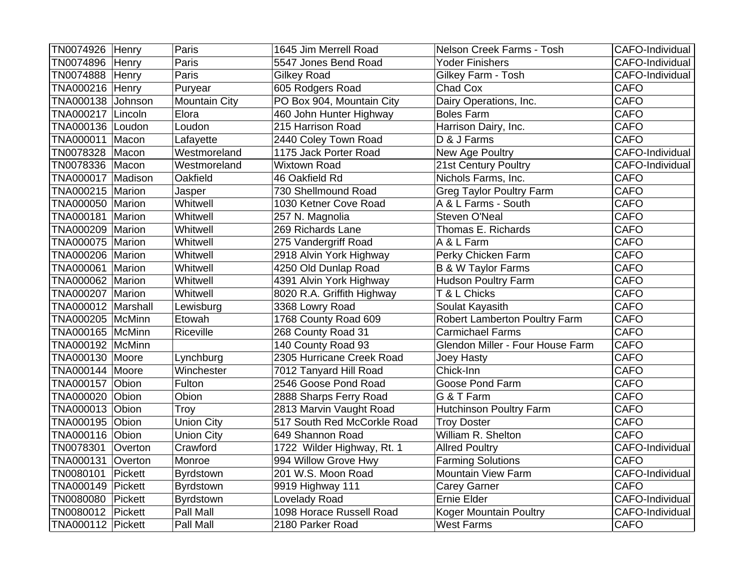| TN0074926 Henry        |         | Paris                | 1645 Jim Merrell Road       | Nelson Creek Farms - Tosh        | CAFO-Individual |
|------------------------|---------|----------------------|-----------------------------|----------------------------------|-----------------|
| TN0074896 Henry        |         | Paris                | 5547 Jones Bend Road        | Yoder Finishers                  | CAFO-Individual |
| TN0074888 Henry        |         | Paris                | <b>Gilkey Road</b>          | Gilkey Farm - Tosh               | CAFO-Individual |
| <b>TNA000216 Henry</b> |         | Puryear              | 605 Rodgers Road            | Chad Cox                         | <b>CAFO</b>     |
| TNA000138 Johnson      |         | <b>Mountain City</b> | PO Box 904, Mountain City   | Dairy Operations, Inc.           | <b>CAFO</b>     |
| TNA000217 Lincoln      |         | Elora                | 460 John Hunter Highway     | <b>Boles Farm</b>                | <b>CAFO</b>     |
| TNA000136 Loudon       |         | Loudon               | 215 Harrison Road           | Harrison Dairy, Inc.             | <b>CAFO</b>     |
| <b>TNA000011 Macon</b> |         | Lafayette            | 2440 Coley Town Road        | D & J Farms                      | <b>CAFO</b>     |
| TN0078328 Macon        |         | Westmoreland         | 1175 Jack Porter Road       | New Age Poultry                  | CAFO-Individual |
| TN0078336   Macon      |         | Westmoreland         | <b>Wixtown Road</b>         | 21st Century Poultry             | CAFO-Individual |
| TNA000017 Madison      |         | Oakfield             | 46 Oakfield Rd              | Nichols Farms, Inc.              | <b>CAFO</b>     |
| TNA000215 Marion       |         | Jasper               | 730 Shellmound Road         | <b>Greg Taylor Poultry Farm</b>  | <b>CAFO</b>     |
| TNA000050 Marion       |         | Whitwell             | 1030 Ketner Cove Road       | A & L Farms - South              | <b>CAFO</b>     |
| TNA000181   Marion     |         | Whitwell             | 257 N. Magnolia             | Steven O'Neal                    | <b>CAFO</b>     |
| TNA000209 Marion       |         | Whitwell             | 269 Richards Lane           | Thomas E. Richards               | <b>CAFO</b>     |
| TNA000075 Marion       |         | Whitwell             | 275 Vandergriff Road        | A & L Farm                       | <b>CAFO</b>     |
| TNA000206 Marion       |         | Whitwell             | 2918 Alvin York Highway     | Perky Chicken Farm               | <b>CAFO</b>     |
| TNA000061 Marion       |         | Whitwell             | 4250 Old Dunlap Road        | <b>B &amp; W Taylor Farms</b>    | <b>CAFO</b>     |
| TNA000062 Marion       |         | Whitwell             | 4391 Alvin York Highway     | <b>Hudson Poultry Farm</b>       | <b>CAFO</b>     |
| TNA000207 Marion       |         | Whitwell             | 8020 R.A. Griffith Highway  | T & L Chicks                     | <b>CAFO</b>     |
| TNA000012 Marshall     |         | Lewisburg            | 3368 Lowry Road             | Soulat Kayasith                  | <b>CAFO</b>     |
| TNA000205 McMinn       |         | Etowah               | 1768 County Road 609        | Robert Lamberton Poultry Farm    | <b>CAFO</b>     |
| TNA000165 McMinn       |         | Riceville            | 268 County Road 31          | <b>Carmichael Farms</b>          | <b>CAFO</b>     |
| TNA000192 McMinn       |         |                      | 140 County Road 93          | Glendon Miller - Four House Farm | <b>CAFO</b>     |
| TNA000130 Moore        |         | Lynchburg            | 2305 Hurricane Creek Road   | Joey Hasty                       | <b>CAFO</b>     |
| TNA000144 Moore        |         | Winchester           | 7012 Tanyard Hill Road      | Chick-Inn                        | <b>CAFO</b>     |
| TNA000157 Obion        |         | Fulton               | 2546 Goose Pond Road        | Goose Pond Farm                  | <b>CAFO</b>     |
| <b>TNA000020</b>       | Obion   | Obion                | 2888 Sharps Ferry Road      | G & T Farm                       | <b>CAFO</b>     |
| <b>TNA000013 Obion</b> |         | Troy                 | 2813 Marvin Vaught Road     | <b>Hutchinson Poultry Farm</b>   | <b>CAFO</b>     |
| TNA000195              | Obion   | <b>Union City</b>    | 517 South Red McCorkle Road | <b>Troy Doster</b>               | <b>CAFO</b>     |
| TNA000116 Obion        |         | <b>Union City</b>    | 649 Shannon Road            | William R. Shelton               | <b>CAFO</b>     |
| TN0078301              | Overton | Crawford             | 1722 Wilder Highway, Rt. 1  | <b>Allred Poultry</b>            | CAFO-Individual |
| TNA000131 Overton      |         | Monroe               | 994 Willow Grove Hwy        | <b>Farming Solutions</b>         | <b>CAFO</b>     |
| TN0080101              | Pickett | Byrdstown            | 201 W.S. Moon Road          | <b>Mountain View Farm</b>        | CAFO-Individual |
| TNA000149 Pickett      |         | Byrdstown            | 9919 Highway 111            | Carey Garner                     | <b>CAFO</b>     |
| TN0080080 Pickett      |         | Byrdstown            | Lovelady Road               | Ernie Elder                      | CAFO-Individual |
| TN0080012              | Pickett | Pall Mall            | 1098 Horace Russell Road    | Koger Mountain Poultry           | CAFO-Individual |
| TNA000112 Pickett      |         | Pall Mall            | 2180 Parker Road            | <b>West Farms</b>                | <b>CAFO</b>     |